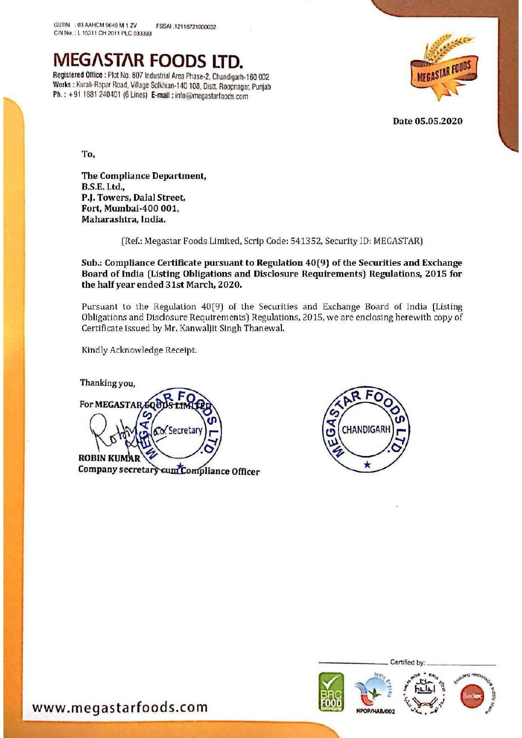

Works : Kurali-Ropar Road, Village Solkhian-140 108, Distt. Roopnagar, Punjab Ph. : +91 1881 240401 (6 Lines) E-mail : info@megastarfoods.com



Date 05.05.2020

To,

The Compliance Department, B.S.E. Ltd., PJ. Towers, Dalal Street, Fort, Mumbai-400 001, Maharashtra, India.

(Ref.: Megastar Foods Limited, Scrip Code: 541352, Security ID: MEGASTAR)

Sub.; Compliance Certificate pursuant to Regulation 40(9) of the Securities and Exchange Board of India (Listing Obligations and Disclosure Requirements) Regulations, 2015 for the half year ended 31st March, 2020.

Pursuant to the Regulation 40(9) of the Securities and Exchange Board of India (Listing Obligations and Disclosure Requirements) Regulations, 2015, we are enclosing herewith copy of Certificate issued by Mr. Kanwaljit Singh Thanewal.

Kindly Acknowledge Receipt.

Thanking you, For MEGASTAR 500 Secretar **ROBIN KUM** Company secretary cum Compliance Officer





www.megastarfoods.com